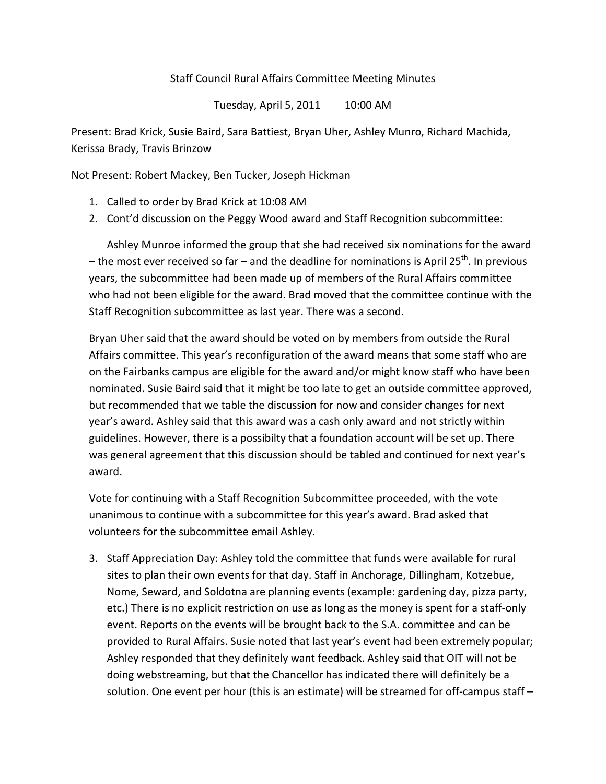## Staff Council Rural Affairs Committee Meeting Minutes

Tuesday, April 5, 2011 10:00 AM

Present: Brad Krick, Susie Baird, Sara Battiest, Bryan Uher, Ashley Munro, Richard Machida, Kerissa Brady, Travis Brinzow

Not Present: Robert Mackey, Ben Tucker, Joseph Hickman

- 1. Called to order by Brad Krick at 10:08 AM
- 2. Cont'd discussion on the Peggy Wood award and Staff Recognition subcommittee:

Ashley Munroe informed the group that she had received six nominations for the award – the most ever received so far – and the deadline for nominations is April 25<sup>th</sup>. In previous years, the subcommittee had been made up of members of the Rural Affairs committee who had not been eligible for the award. Brad moved that the committee continue with the Staff Recognition subcommittee as last year. There was a second.

Bryan Uher said that the award should be voted on by members from outside the Rural Affairs committee. This year's reconfiguration of the award means that some staff who are on the Fairbanks campus are eligible for the award and/or might know staff who have been nominated. Susie Baird said that it might be too late to get an outside committee approved, but recommended that we table the discussion for now and consider changes for next year's award. Ashley said that this award was a cash only award and not strictly within guidelines. However, there is a possibilty that a foundation account will be set up. There was general agreement that this discussion should be tabled and continued for next year's award.

Vote for continuing with a Staff Recognition Subcommittee proceeded, with the vote unanimous to continue with a subcommittee for this year's award. Brad asked that volunteers for the subcommittee email Ashley.

3. Staff Appreciation Day: Ashley told the committee that funds were available for rural sites to plan their own events for that day. Staff in Anchorage, Dillingham, Kotzebue, Nome, Seward, and Soldotna are planning events (example: gardening day, pizza party, etc.) There is no explicit restriction on use as long as the money is spent for a staff-only event. Reports on the events will be brought back to the S.A. committee and can be provided to Rural Affairs. Susie noted that last year's event had been extremely popular; Ashley responded that they definitely want feedback. Ashley said that OIT will not be doing webstreaming, but that the Chancellor has indicated there will definitely be a solution. One event per hour (this is an estimate) will be streamed for off-campus staff –